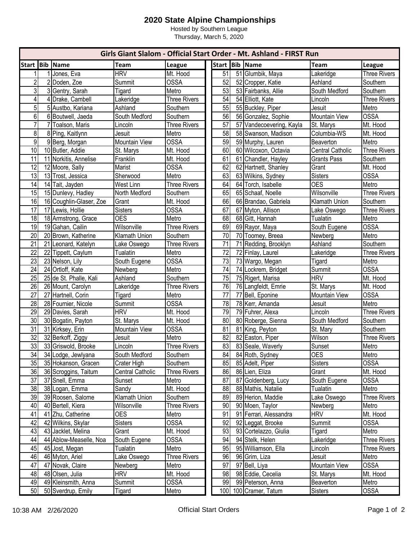## **2020 State Alpine Championships**

Hosted by Southern League Thursday, March 5, 2020

|                 |                         |                         |                     | Girls Giant Slalom - Official Start Order - Mt. Ashland - FIRST Run |                 |  |                          |                         |                     |  |  |
|-----------------|-------------------------|-------------------------|---------------------|---------------------------------------------------------------------|-----------------|--|--------------------------|-------------------------|---------------------|--|--|
| <b>Start</b>    | <b>Bib Name</b>         | <b>Team</b>             | League              |                                                                     |                 |  | Start Bib Name           | <b>Team</b>             | League              |  |  |
|                 | 1 Jones, Eva            | <b>HRV</b>              | Mt. Hood            |                                                                     | 51              |  | 51 Glumbik, Maya         | Lakeridge               | <b>Three Rivers</b> |  |  |
| $\overline{2}$  | 2 Doden, Zoe            | Summit                  | <b>OSSA</b>         |                                                                     | 52              |  | 52 Cropper, Katie        | Ashland                 | Southern            |  |  |
| 3               | 3 Gentry, Sarah         | Tigard                  | Metro               |                                                                     | 53              |  | 53 Fairbanks, Allie      | South Medford           | Southern            |  |  |
| $\overline{4}$  | 4 Drake, Cambell        | Lakeridge               | <b>Three Rivers</b> |                                                                     | 54              |  | 54 Elliott, Kate         | Lincoln                 | <b>Three Rivers</b> |  |  |
| 5               | 5 Austbo, Kariana       | Ashland                 | Southern            |                                                                     | 55              |  | 55 Buckley, Piper        | Jesuit                  | Metro               |  |  |
| 6               | 6 Boutwell, Jaeda       | South Medford           | Southern            |                                                                     | 56              |  | 56 Gonzalez, Sophie      | <b>Mountain View</b>    | <b>OSSA</b>         |  |  |
| $\overline{7}$  | 7 Toalson, Maris        | Lincoln                 | <b>Three Rivers</b> |                                                                     | 57              |  | 57 Vandecoevering, Kayla | St. Marys               | Mt. Hood            |  |  |
| 8               | 8 Ping, Kaitlynn        | Jesuit                  | Metro               |                                                                     | 58              |  | 58 Swanson, Madison      | Columbia-WS             | Mt. Hood            |  |  |
| 9               | 9 Berg, Morgan          | Mountain View           | <b>OSSA</b>         |                                                                     | 59              |  | 59 Murphy, Lauren        | Beaverton               | Metro               |  |  |
| 10              | 10 Butler, Addie        | St. Marys               | Mt. Hood            |                                                                     | 60              |  | 60 Wilcoxon, Octavia     | <b>Central Catholic</b> | <b>Three Rivers</b> |  |  |
| 11              | 11 Norkitis, Annelise   | Franklin                | Mt. Hood            |                                                                     | 61              |  | 61 Chandler, Hayley      | <b>Grants Pass</b>      | Southern            |  |  |
| 12              | 12 Moore, Sally         | Marist                  | <b>OSSA</b>         |                                                                     | 62              |  | 62 Hartnett, Shanley     | Grant                   | Mt. Hood            |  |  |
| 13              | 13 Trost, Jessica       | Sherwood                | Metro               |                                                                     | 63              |  | 63 Wilkins, Sydney       | <b>Sisters</b>          | <b>OSSA</b>         |  |  |
| 14              | 14 Tait, Jayden         | West Linn               | <b>Three Rivers</b> |                                                                     | 64              |  | 64 Torch, Isabelle       | <b>OES</b>              | Metro               |  |  |
| 15              | 15 Dunlevy, Hadley      | North Medford           | Southern            |                                                                     | 65              |  | 65 Schaaf, Noelle        | Wilsonville             | <b>Three Rivers</b> |  |  |
| 16              | 16 Coughlin-Glaser, Zoe | Grant                   | Mt. Hood            |                                                                     | 66              |  | 66 Brandao, Gabriela     | Klamath Union           | Southern            |  |  |
| 17              | 17 Lewis, Hollie        | <b>Sisters</b>          | <b>OSSA</b>         |                                                                     | 67              |  | 67 Myton, Allison        | Lake Oswego             | <b>Three Rivers</b> |  |  |
| 18              | 18 Armstrong, Grace     | <b>OES</b>              | Metro               |                                                                     | 68              |  | 68 Gitt, Hannah          | Tualatin                | Metro               |  |  |
| 19              | 19 Gahan, Cailin        | Wilsonville             | <b>Three Rivers</b> |                                                                     | 69              |  | 69 Rayor, Maya           | South Eugene            | <b>OSSA</b>         |  |  |
| 20              | 20 Brown, Katherine     | Klamath Union           | Southern            |                                                                     | 70              |  | 70 Toomey, Breea         | Newberg                 | Metro               |  |  |
| 21              | 21 Leonard, Katelyn     | Lake Oswego             | <b>Three Rivers</b> |                                                                     | 71              |  | 71 Redding, Brooklyn     | Ashland                 | Southern            |  |  |
| 22              | 22 Tippett, Caylum      | Tualatin                | Metro               |                                                                     | $\overline{72}$ |  | 72 Finlay, Laurel        | Lakeridge               | <b>Three Rivers</b> |  |  |
| 23              | 23 Nelson, Lily         | South Eugene            | <b>OSSA</b>         |                                                                     | 73              |  | 73 Wargo, Megan          | Tigard                  | Metro               |  |  |
| 24              | 24 Ortloff, Kate        | Newberg                 | Metro               |                                                                     | $\overline{74}$ |  | 74 Lockrem, Bridget      | Summit                  | <b>OSSA</b>         |  |  |
| $\overline{25}$ | 25 de St. Phalle, Kali  | Ashland                 | Southern            |                                                                     | $\overline{75}$ |  | 75 Rigert, Marisa        | <b>HRV</b>              | Mt. Hood            |  |  |
| 26              | 26 Mount, Carolyn       | Lakeridge               | <b>Three Rivers</b> |                                                                     | 76              |  | 76 Langfeldt, Emrie      | St. Marys               | Mt. Hood            |  |  |
| 27              | 27 Hartnell, Corin      | Tigard                  | Metro               |                                                                     | 77              |  | 77 Bell, Eponine         | <b>Mountain View</b>    | <b>OSSA</b>         |  |  |
| 28              | 28 Fournier, Nicole     | Summit                  | <b>OSSA</b>         |                                                                     | $\overline{78}$ |  | 78 Kerr, Amanda          | Jesuit                  | Metro               |  |  |
| 29              | 29 Davies, Sarah        | <b>HRV</b>              | Mt. Hood            |                                                                     | 79              |  | 79 Fuhrer, Alexa         | Lincoln                 | <b>Three Rivers</b> |  |  |
| 30              | 30 Bogatin, Payton      | St. Marys               | Mt. Hood            |                                                                     | 80              |  | 80 Roberge, Sienna       | South Medford           | Southern            |  |  |
| 31              | 31 Kirksey, Erin        | Mountain View           | <b>OSSA</b>         |                                                                     | $\overline{81}$ |  | 81 King, Peyton          | St. Mary                | Southern            |  |  |
| $\overline{32}$ | 32 Berkoff, Ziggy       | Jesuit                  | Metro               |                                                                     | 82              |  | 82 Easton, Piper         | Wilson                  | <b>Three Rivers</b> |  |  |
| 33              | 33 Griswold, Brooke     | Lincoln                 | <b>Three Rivers</b> |                                                                     | 83              |  | 83 Seale, Waverly        | Sunset                  | Metro               |  |  |
| 34              | 34 Lodge, Jewlyana      | South Medford           | Southern            |                                                                     | 84              |  | 84 Roth, Sydney          | <b>OES</b>              | Metro               |  |  |
| 35              | 35 Hokanson, Gracen     | Crater High             | Southern            |                                                                     | 85              |  | 85 Adelt, Piper          | <b>Sisters</b>          | <b>OSSA</b>         |  |  |
| 36              | 36 Scroggins, Taitum    | <b>Central Catholic</b> | <b>Three Rivers</b> |                                                                     | 86              |  | 86 Lien, Eliza           | Grant                   | Mt. Hood            |  |  |
| 37              | 37 Snell, Emma          | Sunset                  | Metro               |                                                                     | 87              |  | 87 Goldenberg, Lucy      | South Eugene            | <b>OSSA</b>         |  |  |
| 38              | 38 Logan, Emma          | Sandy                   | Mt. Hood            |                                                                     | 88              |  | 88 Mathis, Natalie       | Tualatin                | Metro               |  |  |
| 39              | 39 Roosen, Salome       | Klamath Union           | Southern            |                                                                     | 89              |  | 89 Herion, Maddie        | Lake Oswego             | <b>Three Rivers</b> |  |  |
| 40              | 40 Bertell, Kiera       | Wilsonville             | Three Rivers        |                                                                     | 90              |  | 90 Moen, Taylor          | Newberg                 | Metro               |  |  |
| 41              | 41 Zhu, Catherine       | <b>OES</b>              | Metro               |                                                                     | 91              |  | 91 Ferrari, Alessandra   | <b>HRV</b>              | Mt. Hood            |  |  |
| 42              | 42 Wilkins, Skylar      | <b>Sisters</b>          | <b>OSSA</b>         |                                                                     | 92              |  | 92 Leggat, Brooke        | Summit                  | <b>OSSA</b>         |  |  |
| 43              | 43 Jacklet, Melina      | Grant                   | Mt. Hood            |                                                                     | 93              |  | 93 Cortelazzo, Giulia    | Tigard                  | Metro               |  |  |
| 44              | 44 Ablow-Measelle, Noa  | South Eugene            | <b>OSSA</b>         |                                                                     | 94              |  | 94 Stelk, Helen          | Lakeridge               | <b>Three Rivers</b> |  |  |
| 45              | 45 Jost, Megan          | Tualatin                | Metro               |                                                                     | 95              |  | 95 Williamson, Ella      | Lincoln                 | <b>Three Rivers</b> |  |  |
| 46              | 46 Myton, Ariel         | Lake Oswego             | Three Rivers        |                                                                     | 96              |  | 96 Grim, Liza            | Jesuit                  | Metro               |  |  |
| 47              | 47 Novak, Claire        | Newberg                 | Metro               |                                                                     | 97              |  | 97 Bell, Liya            | Mountain View           | <b>OSSA</b>         |  |  |
| 48              | 48 Olsen, Julia         | <b>HRV</b>              | Mt. Hood            |                                                                     | 98              |  | 98 Eddie, Cecelia        | St. Marys               | Mt. Hood            |  |  |
| 49              | 49 Kleinsmith, Anna     | Summit                  | OSSA                |                                                                     | 99              |  | 99 Peterson, Anna        | Beaverton               | Metro               |  |  |
| 50              | 50 Sverdrup, Emily      | <b>Tigard</b>           | Metro               |                                                                     |                 |  | 100 100 Cramer, Tatum    | <b>Sisters</b>          | <b>OSSA</b>         |  |  |